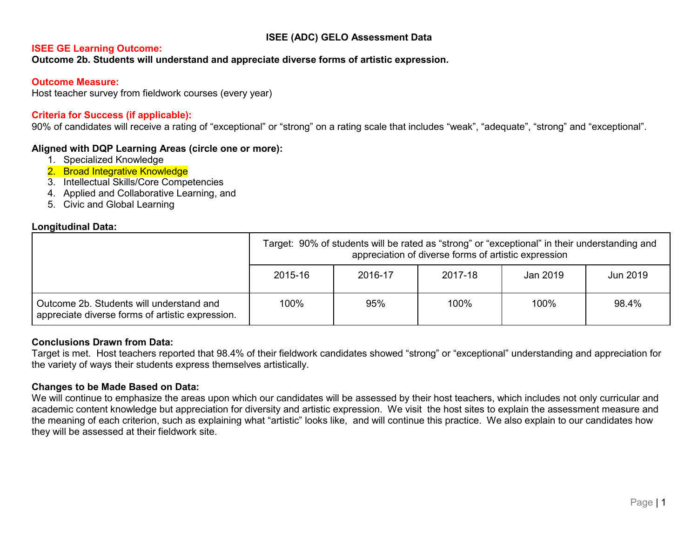# **ISEE (ADC) GELO Assessment Data**

#### **ISEE GE Learning Outcome:**

**Outcome 2b. Students will understand and appreciate diverse forms of artistic expression.**

#### **Outcome Measure:**

Host teacher survey from fieldwork courses (every year)

## **Criteria for Success (if applicable):**

90% of candidates will receive a rating of "exceptional" or "strong" on a rating scale that includes "weak", "adequate", "strong" and "exceptional".

## **Aligned with DQP Learning Areas (circle one or more):**

- 1. Specialized Knowledge
- 2. Broad Integrative Knowledge
- 3. Intellectual Skills/Core Competencies
- 4. Applied and Collaborative Learning, and
- 5. Civic and Global Learning

#### **Longitudinal Data:**

|                                                                                              | Target: 90% of students will be rated as "strong" or "exceptional" in their understanding and<br>appreciation of diverse forms of artistic expression |         |         |          |          |  |  |
|----------------------------------------------------------------------------------------------|-------------------------------------------------------------------------------------------------------------------------------------------------------|---------|---------|----------|----------|--|--|
|                                                                                              | 2015-16                                                                                                                                               | 2016-17 | 2017-18 | Jan 2019 | Jun 2019 |  |  |
| Outcome 2b. Students will understand and<br>appreciate diverse forms of artistic expression. | 100%                                                                                                                                                  | 95%     | 100%    | 100%     | 98.4%    |  |  |

## **Conclusions Drawn from Data:**

Target is met. Host teachers reported that 98.4% of their fieldwork candidates showed "strong" or "exceptional" understanding and appreciation for the variety of ways their students express themselves artistically.

## **Changes to be Made Based on Data:**

We will continue to emphasize the areas upon which our candidates will be assessed by their host teachers, which includes not only curricular and academic content knowledge but appreciation for diversity and artistic expression. We visit the host sites to explain the assessment measure and the meaning of each criterion, such as explaining what "artistic" looks like, and will continue this practice. We also explain to our candidates how they will be assessed at their fieldwork site.